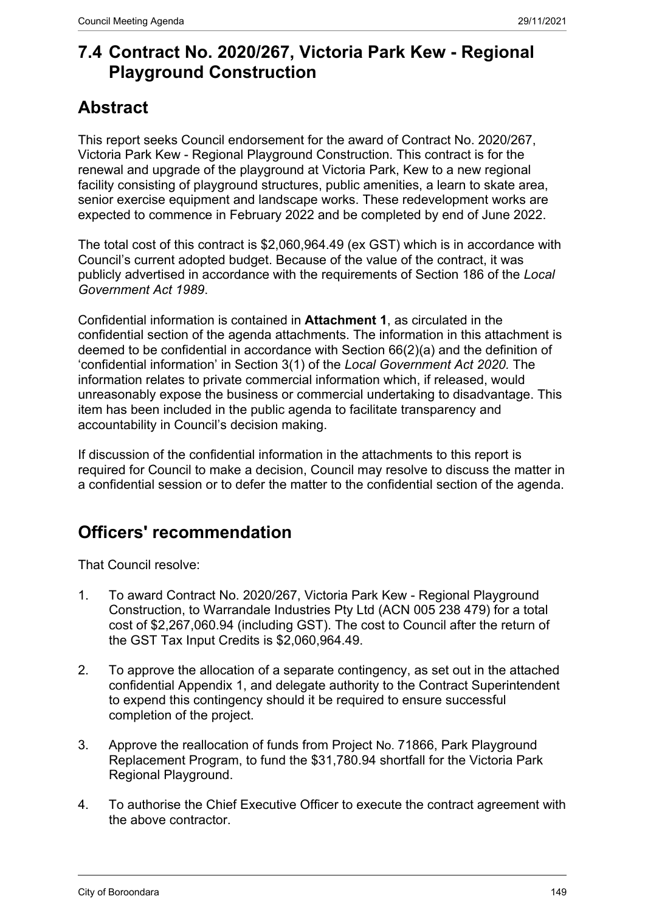# **7.4 Contract No. 2020/267, Victoria Park Kew - Regional Playground Construction**

# **Abstract**

This report seeks Council endorsement for the award of Contract No. 2020/267, Victoria Park Kew - Regional Playground Construction. This contract is for the renewal and upgrade of the playground at Victoria Park, Kew to a new regional facility consisting of playground structures, public amenities, a learn to skate area, senior exercise equipment and landscape works. These redevelopment works are expected to commence in February 2022 and be completed by end of June 2022.

The total cost of this contract is \$2,060,964.49 (ex GST) which is in accordance with Council's current adopted budget. Because of the value of the contract, it was publicly advertised in accordance with the requirements of Section 186 of the *Local Government Act 1989*.

Confidential information is contained in **Attachment 1**, as circulated in the confidential section of the agenda attachments. The information in this attachment is deemed to be confidential in accordance with Section 66(2)(a) and the definition of 'confidential information' in Section 3(1) of the *Local Government Act 2020.* The information relates to private commercial information which, if released, would unreasonably expose the business or commercial undertaking to disadvantage. This item has been included in the public agenda to facilitate transparency and accountability in Council's decision making.

If discussion of the confidential information in the attachments to this report is required for Council to make a decision, Council may resolve to discuss the matter in a confidential session or to defer the matter to the confidential section of the agenda.

# **Officers' recommendation**

That Council resolve:

- 1. To award Contract No. 2020/267, Victoria Park Kew Regional Playground Construction, to Warrandale Industries Pty Ltd (ACN 005 238 479) for a total cost of \$2,267,060.94 (including GST). The cost to Council after the return of the GST Tax Input Credits is \$2,060,964.49.
- 2. To approve the allocation of a separate contingency, as set out in the attached confidential Appendix 1, and delegate authority to the Contract Superintendent to expend this contingency should it be required to ensure successful completion of the project.
- 3. Approve the reallocation of funds from Project No. 71866, Park Playground Replacement Program, to fund the \$31,780.94 shortfall for the Victoria Park Regional Playground.
- 4. To authorise the Chief Executive Officer to execute the contract agreement with the above contractor.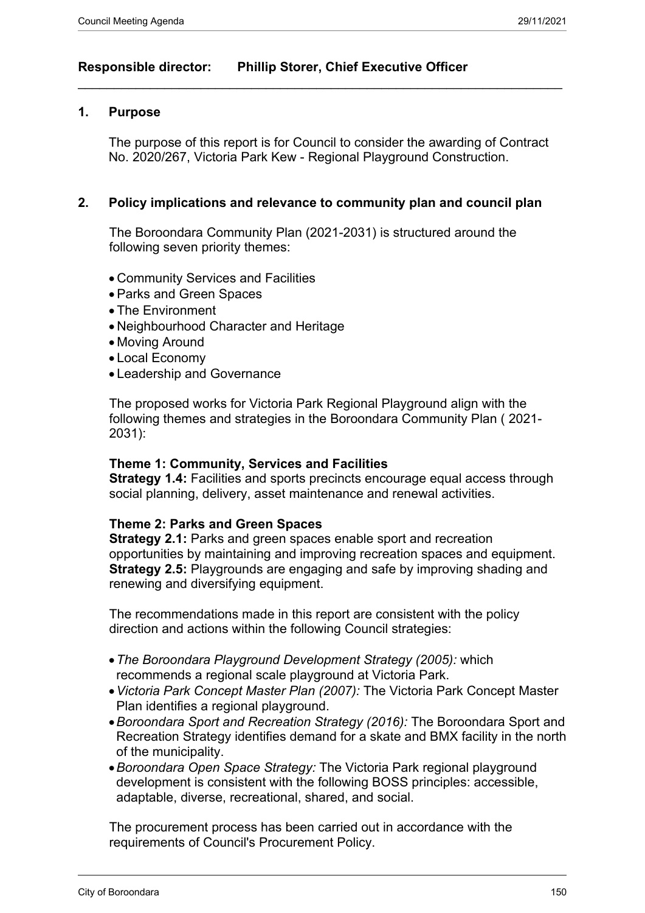## **Responsible director: Phillip Storer, Chief Executive Officer**

#### **1. Purpose**

The purpose of this report is for Council to consider the awarding of Contract No. 2020/267, Victoria Park Kew - Regional Playground Construction.

 $\_$  , and the set of the set of the set of the set of the set of the set of the set of the set of the set of the set of the set of the set of the set of the set of the set of the set of the set of the set of the set of th

### **2. Policy implications and relevance to community plan and council plan**

The Boroondara Community Plan (2021-2031) is structured around the following seven priority themes:

- Community Services and Facilities
- Parks and Green Spaces
- The Environment
- Neighbourhood Character and Heritage
- Moving Around
- Local Economy
- Leadership and Governance

The proposed works for Victoria Park Regional Playground align with the following themes and strategies in the Boroondara Community Plan ( 2021- 2031):

#### **Theme 1: Community, Services and Facilities**

**Strategy 1.4:** Facilities and sports precincts encourage equal access through social planning, delivery, asset maintenance and renewal activities.

#### **Theme 2: Parks and Green Spaces**

**Strategy 2.1: Parks and green spaces enable sport and recreation** opportunities by maintaining and improving recreation spaces and equipment. **Strategy 2.5:** Playgrounds are engaging and safe by improving shading and renewing and diversifying equipment.

The recommendations made in this report are consistent with the policy direction and actions within the following Council strategies:

- *The Boroondara Playground Development Strategy (2005):* which recommends a regional scale playground at Victoria Park.
- *Victoria Park Concept Master Plan (2007):* The Victoria Park Concept Master Plan identifies a regional playground.
- *Boroondara Sport and Recreation Strategy (2016):* The Boroondara Sport and Recreation Strategy identifies demand for a skate and BMX facility in the north of the municipality.
- *Boroondara Open Space Strategy:* The Victoria Park regional playground development is consistent with the following BOSS principles: accessible, adaptable, diverse, recreational, shared, and social.

The procurement process has been carried out in accordance with the requirements of Council's Procurement Policy.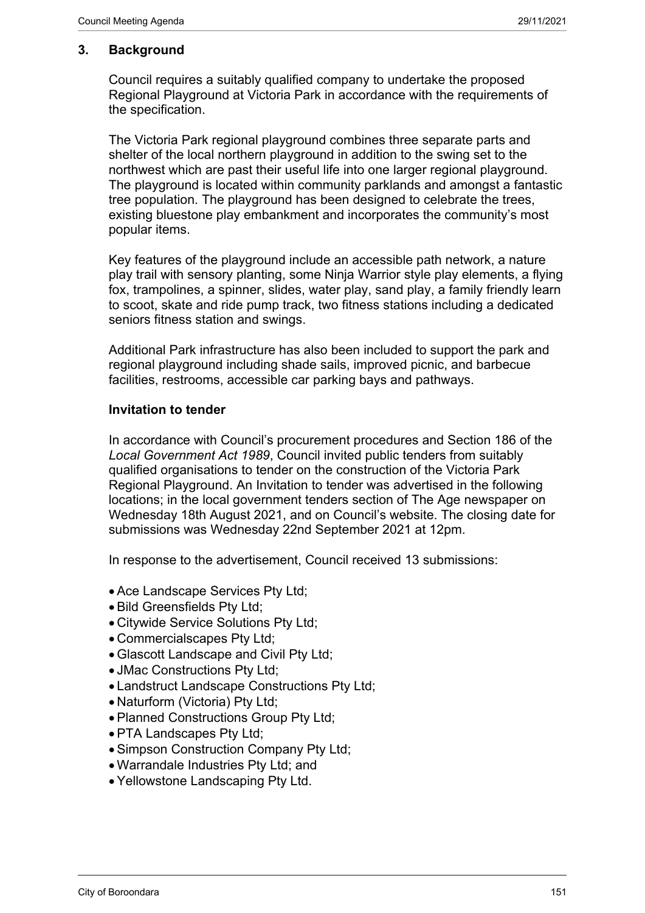## **3. Background**

Council requires a suitably qualified company to undertake the proposed Regional Playground at Victoria Park in accordance with the requirements of the specification.

The Victoria Park regional playground combines three separate parts and shelter of the local northern playground in addition to the swing set to the northwest which are past their useful life into one larger regional playground. The playground is located within community parklands and amongst a fantastic tree population. The playground has been designed to celebrate the trees, existing bluestone play embankment and incorporates the community's most popular items.

Key features of the playground include an accessible path network, a nature play trail with sensory planting, some Ninja Warrior style play elements, a flying fox, trampolines, a spinner, slides, water play, sand play, a family friendly learn to scoot, skate and ride pump track, two fitness stations including a dedicated seniors fitness station and swings.

Additional Park infrastructure has also been included to support the park and regional playground including shade sails, improved picnic, and barbecue facilities, restrooms, accessible car parking bays and pathways.

### **Invitation to tender**

In accordance with Council's procurement procedures and Section 186 of the *Local Government Act 1989*, Council invited public tenders from suitably qualified organisations to tender on the construction of the Victoria Park Regional Playground. An Invitation to tender was advertised in the following locations; in the local government tenders section of The Age newspaper on Wednesday 18th August 2021, and on Council's website. The closing date for submissions was Wednesday 22nd September 2021 at 12pm.

In response to the advertisement, Council received 13 submissions:

- Ace Landscape Services Pty Ltd;
- Bild Greensfields Pty Ltd;
- Citywide Service Solutions Pty Ltd;
- Commercialscapes Pty Ltd;
- Glascott Landscape and Civil Pty Ltd;
- JMac Constructions Pty Ltd;
- Landstruct Landscape Constructions Pty Ltd;
- Naturform (Victoria) Pty Ltd;
- Planned Constructions Group Pty Ltd;
- PTA Landscapes Pty Ltd;
- Simpson Construction Company Pty Ltd;
- Warrandale Industries Pty Ltd; and
- Yellowstone Landscaping Pty Ltd.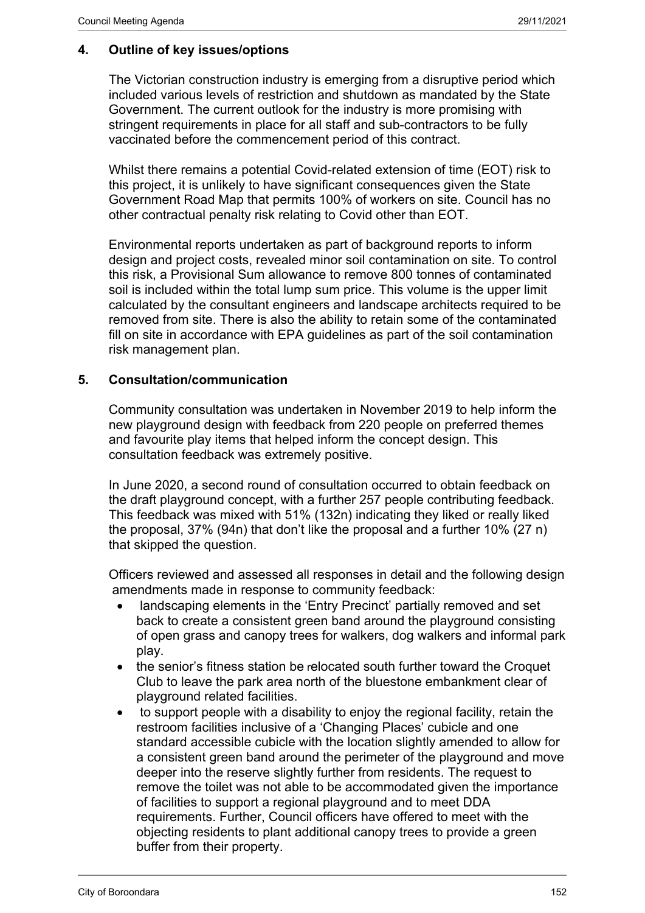# **4. Outline of key issues/options**

The Victorian construction industry is emerging from a disruptive period which included various levels of restriction and shutdown as mandated by the State Government. The current outlook for the industry is more promising with stringent requirements in place for all staff and sub-contractors to be fully vaccinated before the commencement period of this contract.

Whilst there remains a potential Covid-related extension of time (EOT) risk to this project, it is unlikely to have significant consequences given the State Government Road Map that permits 100% of workers on site. Council has no other contractual penalty risk relating to Covid other than EOT.

Environmental reports undertaken as part of background reports to inform design and project costs, revealed minor soil contamination on site. To control this risk, a Provisional Sum allowance to remove 800 tonnes of contaminated soil is included within the total lump sum price. This volume is the upper limit calculated by the consultant engineers and landscape architects required to be removed from site. There is also the ability to retain some of the contaminated fill on site in accordance with EPA guidelines as part of the soil contamination risk management plan.

## **5. Consultation/communication**

Community consultation was undertaken in November 2019 to help inform the new playground design with feedback from 220 people on preferred themes and favourite play items that helped inform the concept design. This consultation feedback was extremely positive.

In June 2020, a second round of consultation occurred to obtain feedback on the draft playground concept, with a further 257 people contributing feedback. This feedback was mixed with 51% (132n) indicating they liked or really liked the proposal, 37% (94n) that don't like the proposal and a further 10% (27 n) that skipped the question.

Officers reviewed and assessed all responses in detail and the following design amendments made in response to community feedback:

- landscaping elements in the 'Entry Precinct' partially removed and set back to create a consistent green band around the playground consisting of open grass and canopy trees for walkers, dog walkers and informal park play.
- the senior's fitness station be relocated south further toward the Croquet Club to leave the park area north of the bluestone embankment clear of playground related facilities.
- to support people with a disability to enjoy the regional facility, retain the restroom facilities inclusive of a 'Changing Places' cubicle and one standard accessible cubicle with the location slightly amended to allow for a consistent green band around the perimeter of the playground and move deeper into the reserve slightly further from residents. The request to remove the toilet was not able to be accommodated given the importance of facilities to support a regional playground and to meet DDA requirements. Further, Council officers have offered to meet with the objecting residents to plant additional canopy trees to provide a green buffer from their property.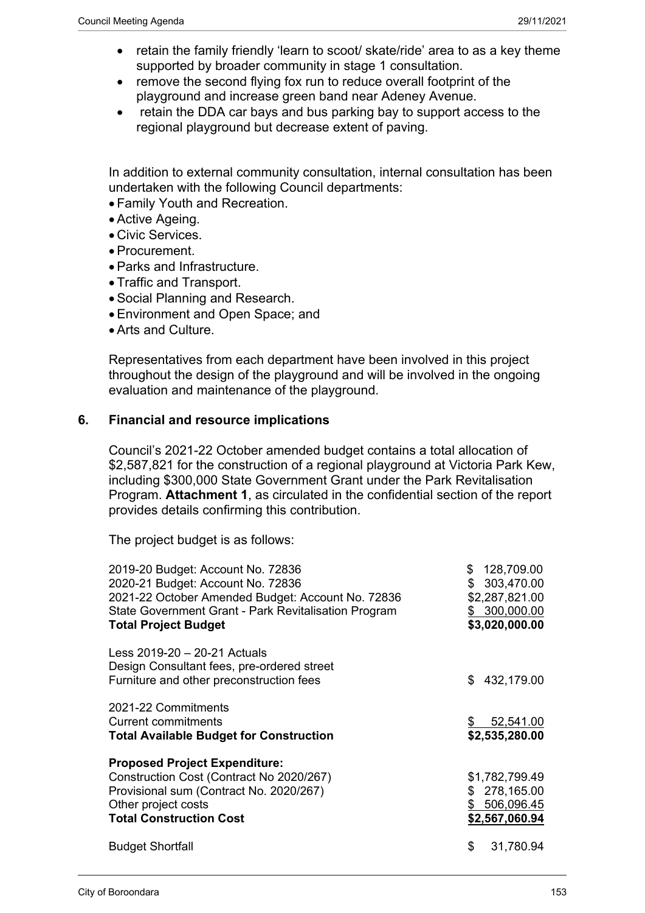- retain the family friendly 'learn to scoot/ skate/ride' area to as a key theme supported by broader community in stage 1 consultation.
- remove the second flying fox run to reduce overall footprint of the playground and increase green band near Adeney Avenue.
- retain the DDA car bays and bus parking bay to support access to the regional playground but decrease extent of paving.

In addition to external community consultation, internal consultation has been undertaken with the following Council departments:

- Family Youth and Recreation.
- Active Ageing.
- Civic Services.
- Procurement.
- Parks and Infrastructure.
- Traffic and Transport.
- Social Planning and Research.
- Environment and Open Space; and
- Arts and Culture.

Representatives from each department have been involved in this project throughout the design of the playground and will be involved in the ongoing evaluation and maintenance of the playground.

#### **6. Financial and resource implications**

Council's 2021-22 October amended budget contains a total allocation of \$2,587,821 for the construction of a regional playground at Victoria Park Kew, including \$300,000 State Government Grant under the Park Revitalisation Program. **Attachment 1**, as circulated in the confidential section of the report provides details confirming this contribution.

The project budget is as follows:

| 2019-20 Budget: Account No. 72836<br>2020-21 Budget: Account No. 72836<br>2021-22 October Amended Budget: Account No. 72836<br>State Government Grant - Park Revitalisation Program<br><b>Total Project Budget</b> | 128,709.00<br>\$<br>303,470.00<br>\$<br>\$2,287,821.00<br>300,000.00<br>\$<br>\$3,020,000.00 |
|--------------------------------------------------------------------------------------------------------------------------------------------------------------------------------------------------------------------|----------------------------------------------------------------------------------------------|
| Less 2019-20 - 20-21 Actuals<br>Design Consultant fees, pre-ordered street<br>Furniture and other preconstruction fees                                                                                             | 432,179.00<br>\$.                                                                            |
| 2021-22 Commitments<br>Current commitments<br><b>Total Available Budget for Construction</b>                                                                                                                       | 52,541.00<br>\$<br>\$2,535,280.00                                                            |
| <b>Proposed Project Expenditure:</b><br>Construction Cost (Contract No 2020/267)<br>Provisional sum (Contract No. 2020/267)<br>Other project costs<br><b>Total Construction Cost</b>                               | \$1,782,799.49<br>278,165.00<br>\$<br>\$ 506,096.45<br>\$2,567,060.94                        |
| <b>Budget Shortfall</b>                                                                                                                                                                                            | \$<br>31,780.94                                                                              |